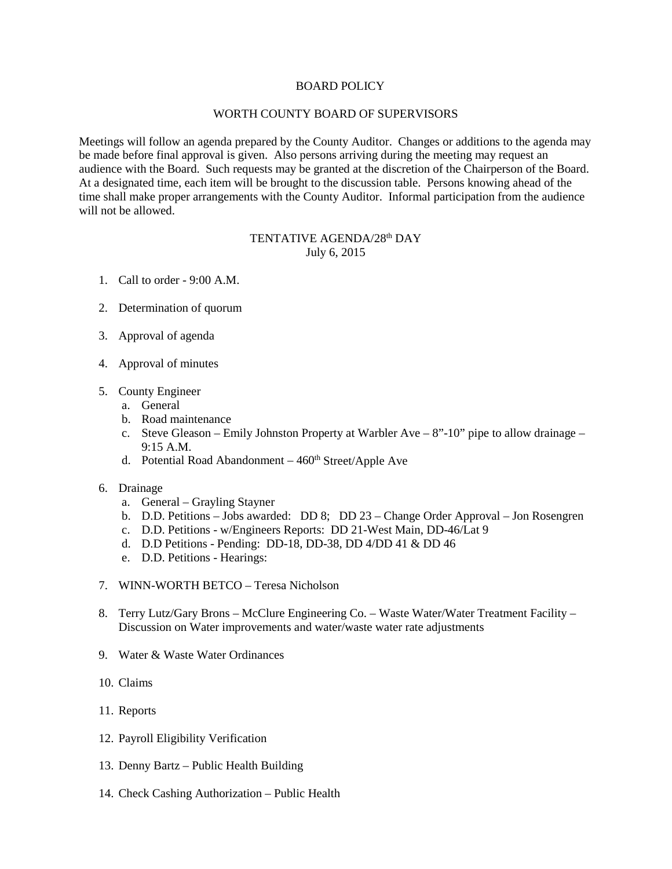# BOARD POLICY

#### WORTH COUNTY BOARD OF SUPERVISORS

Meetings will follow an agenda prepared by the County Auditor. Changes or additions to the agenda may be made before final approval is given. Also persons arriving during the meeting may request an audience with the Board. Such requests may be granted at the discretion of the Chairperson of the Board. At a designated time, each item will be brought to the discussion table. Persons knowing ahead of the time shall make proper arrangements with the County Auditor. Informal participation from the audience will not be allowed.

# TENTATIVE AGENDA/28<sup>th</sup> DAY July 6, 2015

- 1. Call to order 9:00 A.M.
- 2. Determination of quorum
- 3. Approval of agenda
- 4. Approval of minutes
- 5. County Engineer
	- a. General
	- b. Road maintenance
	- c. Steve Gleason Emily Johnston Property at Warbler Ave 8"-10" pipe to allow drainage 9:15 A.M.
	- d. Potential Road Abandonment  $460<sup>th</sup> Street/Apple$  Ave
- 6. Drainage
	- a. General Grayling Stayner
	- b. D.D. Petitions Jobs awarded: DD 8; DD 23 Change Order Approval Jon Rosengren
	- c. D.D. Petitions w/Engineers Reports: DD 21-West Main, DD-46/Lat 9
	- d. D.D Petitions Pending: DD-18, DD-38, DD 4/DD 41 & DD 46
	- e. D.D. Petitions Hearings:
- 7. WINN-WORTH BETCO Teresa Nicholson
- 8. Terry Lutz/Gary Brons McClure Engineering Co. Waste Water/Water Treatment Facility Discussion on Water improvements and water/waste water rate adjustments
- 9. Water & Waste Water Ordinances
- 10. Claims
- 11. Reports
- 12. Payroll Eligibility Verification
- 13. Denny Bartz Public Health Building
- 14. Check Cashing Authorization Public Health